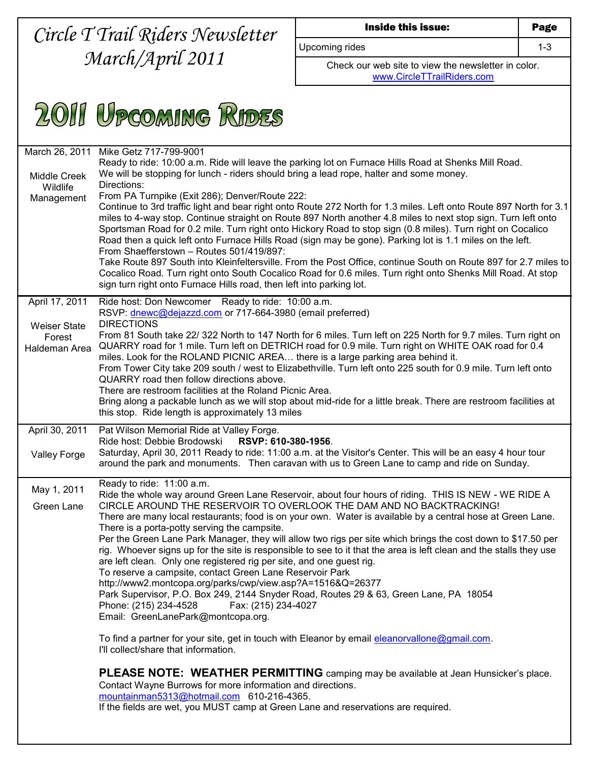## *Circle T Trail Riders Newsletter March/April 2011*

| Inside this issue |  |  |
|-------------------|--|--|
|-------------------|--|--|

Upcoming rides 1-3

Check our web site to view the newsletter in color. [www.CircleTTrailRiders.com](http://www.circlettrailriders.com/)



| March 26, 2011<br><b>Middle Creek</b><br>Wildlife<br>Management | Mike Getz 717-799-9001<br>Ready to ride: 10:00 a.m. Ride will leave the parking lot on Furnace Hills Road at Shenks Mill Road.<br>We will be stopping for lunch - riders should bring a lead rope, halter and some money.<br>Directions:<br>From PA Turnpike (Exit 286); Denver/Route 222:<br>Continue to 3rd traffic light and bear right onto Route 272 North for 1.3 miles. Left onto Route 897 North for 3.1<br>miles to 4-way stop. Continue straight on Route 897 North another 4.8 miles to next stop sign. Turn left onto<br>Sportsman Road for 0.2 mile. Turn right onto Hickory Road to stop sign (0.8 miles). Turn right on Cocalico<br>Road then a quick left onto Furnace Hills Road (sign may be gone). Parking lot is 1.1 miles on the left.<br>From Shaefferstown - Routes 501/419/897:<br>Take Route 897 South into Kleinfeltersville. From the Post Office, continue South on Route 897 for 2.7 miles to<br>Cocalico Road. Turn right onto South Cocalico Road for 0.6 miles. Turn right onto Shenks Mill Road. At stop<br>sign turn right onto Furnace Hills road, then left into parking lot.                                                                                                                                                                                                                                                                                                                    |
|-----------------------------------------------------------------|--------------------------------------------------------------------------------------------------------------------------------------------------------------------------------------------------------------------------------------------------------------------------------------------------------------------------------------------------------------------------------------------------------------------------------------------------------------------------------------------------------------------------------------------------------------------------------------------------------------------------------------------------------------------------------------------------------------------------------------------------------------------------------------------------------------------------------------------------------------------------------------------------------------------------------------------------------------------------------------------------------------------------------------------------------------------------------------------------------------------------------------------------------------------------------------------------------------------------------------------------------------------------------------------------------------------------------------------------------------------------------------------------------------------------------------|
| April 17, 2011                                                  | Ride host: Don Newcomer Ready to ride: 10:00 a.m.                                                                                                                                                                                                                                                                                                                                                                                                                                                                                                                                                                                                                                                                                                                                                                                                                                                                                                                                                                                                                                                                                                                                                                                                                                                                                                                                                                                    |
| <b>Weiser State</b><br>Forest<br>Haldeman Area                  | RSVP: dnewc@dejazzd.com or 717-664-3980 (email preferred)<br><b>DIRECTIONS</b><br>From 81 South take 22/ 322 North to 147 North for 6 miles. Turn left on 225 North for 9.7 miles. Turn right on<br>QUARRY road for 1 mile. Turn left on DETRICH road for 0.9 mile. Turn right on WHITE OAK road for 0.4<br>miles. Look for the ROLAND PICNIC AREA there is a large parking area behind it.<br>From Tower City take 209 south / west to Elizabethville. Turn left onto 225 south for 0.9 mile. Turn left onto<br>QUARRY road then follow directions above.<br>There are restroom facilities at the Roland Picnic Area.<br>Bring along a packable lunch as we will stop about mid-ride for a little break. There are restroom facilities at<br>this stop. Ride length is approximately 13 miles                                                                                                                                                                                                                                                                                                                                                                                                                                                                                                                                                                                                                                       |
| April 30, 2011                                                  | Pat Wilson Memorial Ride at Valley Forge.<br>Ride host: Debbie Brodowski<br>RSVP: 610-380-1956.                                                                                                                                                                                                                                                                                                                                                                                                                                                                                                                                                                                                                                                                                                                                                                                                                                                                                                                                                                                                                                                                                                                                                                                                                                                                                                                                      |
| <b>Valley Forge</b>                                             | Saturday, April 30, 2011 Ready to ride: 11:00 a.m. at the Visitor's Center. This will be an easy 4 hour tour<br>around the park and monuments. Then caravan with us to Green Lane to camp and ride on Sunday.                                                                                                                                                                                                                                                                                                                                                                                                                                                                                                                                                                                                                                                                                                                                                                                                                                                                                                                                                                                                                                                                                                                                                                                                                        |
| May 1, 2011<br>Green Lane                                       | Ready to ride: 11:00 a.m.<br>Ride the whole way around Green Lane Reservoir, about four hours of riding. THIS IS NEW - WE RIDE A<br>CIRCLE AROUND THE RESERVOIR TO OVERLOOK THE DAM AND NO BACKTRACKING!<br>There are many local restaurants; food is on your own. Water is available by a central hose at Green Lane.<br>There is a porta-potty serving the campsite.<br>Per the Green Lane Park Manager, they will allow two rigs per site which brings the cost down to \$17.50 per<br>rig. Whoever signs up for the site is responsible to see to it that the area is left clean and the stalls they use<br>are left clean. Only one registered rig per site, and one guest rig.<br>To reserve a campsite, contact Green Lane Reservoir Park<br>http://www2.montcopa.org/parks/cwp/view.asp?A=1516&Q=26377<br>Park Supervisor, P.O. Box 249, 2144 Snyder Road, Routes 29 & 63, Green Lane, PA 18054<br>Phone: (215) 234-4528<br>Fax: (215) 234-4027<br>Email: GreenLanePark@montcopa.org.<br>To find a partner for your site, get in touch with Eleanor by email eleanorvallone@gmail.com.<br>I'll collect/share that information.<br><b>PLEASE NOTE: WEATHER PERMITTING</b> camping may be available at Jean Hunsicker's place.<br>Contact Wayne Burrows for more information and directions.<br>mountainman5313@hotmail.com 610-216-4365.<br>If the fields are wet, you MUST camp at Green Lane and reservations are required. |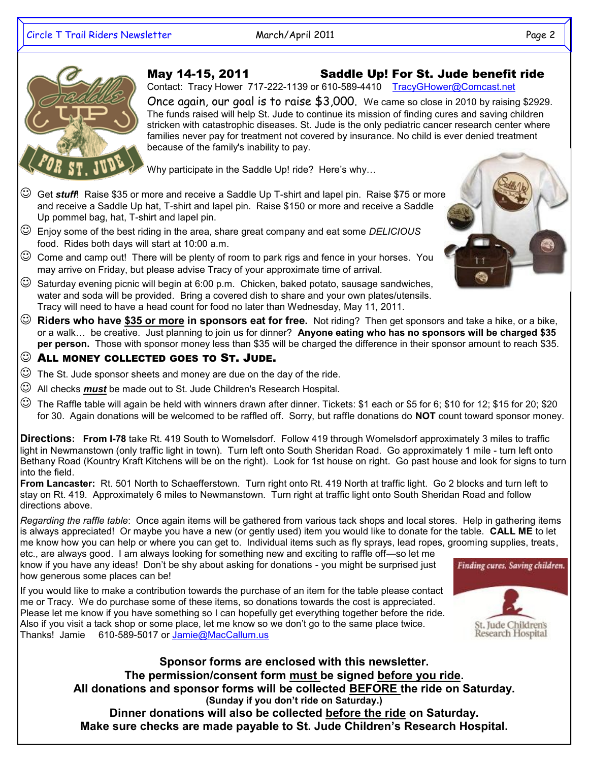## May 14-15, 2011 Saddle Up! For St. Jude benefit ride



Contact: Tracy Hower 717-222-1139 or 610-589-4410 [TracyGHower@Comcast.net](mailto:TracyGHower@Comcast.net?subject=Saddle%20Up%20for%20St.%20Jude)

Once again, our goal is to raise \$3,000. We came so close in 2010 by raising \$2929. The funds raised will help St. Jude to continue its mission of finding cures and saving children stricken with catastrophic diseases. St. Jude is the only pediatric cancer research center where families never pay for treatment not covered by insurance. No child is ever denied treatment because of the family's inability to pay.

Why participate in the Saddle Up! ride? Here's why…

- Get *stuff*! Raise \$35 or more and receive a Saddle Up T-shirt and lapel pin. Raise \$75 or more and receive a Saddle Up hat, T-shirt and lapel pin. Raise \$150 or more and receive a Saddle Up pommel bag, hat, T-shirt and lapel pin.
- Enjoy some of the best riding in the area, share great company and eat some *DELICIOUS* food. Rides both days will start at 10:00 a.m.
- $\odot$  Come and camp out! There will be plenty of room to park rigs and fence in your horses. You may arrive on Friday, but please advise Tracy of your approximate time of arrival.
- $\heartsuit$  Saturday evening picnic will begin at 6:00 p.m. Chicken, baked potato, sausage sandwiches, water and soda will be provided. Bring a covered dish to share and your own plates/utensils. Tracy will need to have a head count for food no later than Wednesday, May 11, 2011.
- **Riders who have \$35 or more in sponsors eat for free.** Not riding? Then get sponsors and take a hike, or a bike, or a walk… be creative. Just planning to join us for dinner? **Anyone eating who has no sponsors will be charged \$35 per person.** Those with sponsor money less than \$35 will be charged the difference in their sponsor amount to reach \$35.
- ALL MONEY COLLECTED GOES TO ST. JUDE.
- $\odot$  The St. Jude sponsor sheets and money are due on the day of the ride.
- All checks *must* be made out to St. Jude Children's Research Hospital.
- The Raffle table will again be held with winners drawn after dinner. Tickets: \$1 each or \$5 for 6; \$10 for 12; \$15 for 20; \$20 for 30. Again donations will be welcomed to be raffled off. Sorry, but raffle donations do **NOT** count toward sponsor money.

**Directions: From I-78** take Rt. 419 South to Womelsdorf. Follow 419 through Womelsdorf approximately 3 miles to traffic light in Newmanstown (only traffic light in town). Turn left onto South Sheridan Road. Go approximately 1 mile - turn left onto Bethany Road (Kountry Kraft Kitchens will be on the right). Look for 1st house on right. Go past house and look for signs to turn into the field.

**From Lancaster:** Rt. 501 North to Schaefferstown. Turn right onto Rt. 419 North at traffic light. Go 2 blocks and turn left to stay on Rt. 419. Approximately 6 miles to Newmanstown. Turn right at traffic light onto South Sheridan Road and follow directions above.

*Regarding the raffle table*: Once again items will be gathered from various tack shops and local stores. Help in gathering items is always appreciated! Or maybe you have a new (or gently used) item you would like to donate for the table. **CALL ME** to let me know how you can help or where you can get to. Individual items such as fly sprays, lead ropes, grooming supplies, treats,

etc., are always good. I am always looking for something new and exciting to raffle off—so let me know if you have any ideas! Don't be shy about asking for donations - you might be surprised just how generous some places can be!

If you would like to make a contribution towards the purchase of an item for the table please contact me or Tracy. We do purchase some of these items, so donations towards the cost is appreciated. Please let me know if you have something so I can hopefully get everything together before the ride. Also if you visit a tack shop or some place, let me know so we don't go to the same place twice. Thanks! Jamie 610-589-5017 or [Jamie@MacCallum.us](mailto:Jamie@MacCallum.us?subject=Saddle%20Up%20raffle%20donation) 



**Sponsor forms are enclosed with this newsletter. The permission/consent form must be signed before you ride. All donations and sponsor forms will be collected BEFORE the ride on Saturday. (Sunday if you don't ride on Saturday.) Dinner donations will also be collected before the ride on Saturday. Make sure checks are made payable to St. Jude Children's Research Hospital.** 

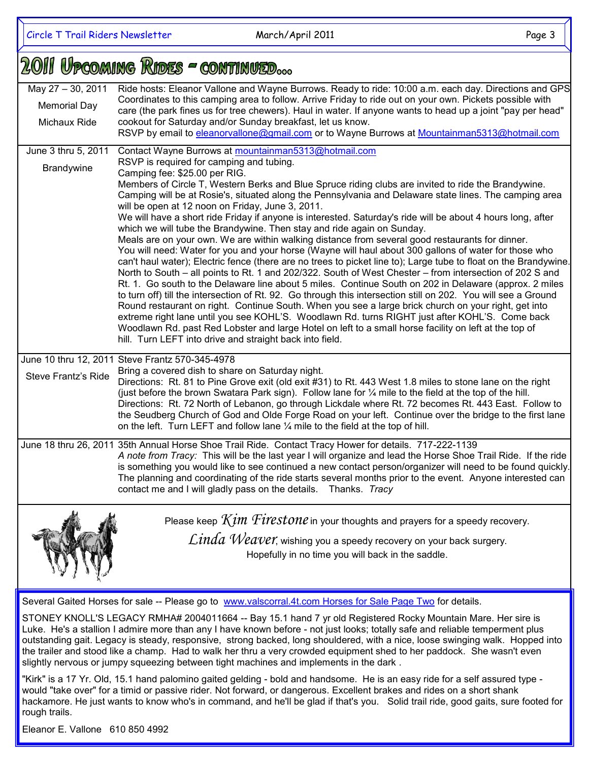## 2011 UPCOMING RIDES - CONTINUED...

| May 27 - 30, 2011<br><b>Memorial Day</b><br>Michaux Ride                                                                                                                                                                                                                                                                                           | Ride hosts: Eleanor Vallone and Wayne Burrows. Ready to ride: 10:00 a.m. each day. Directions and GPS<br>Coordinates to this camping area to follow. Arrive Friday to ride out on your own. Pickets possible with<br>care (the park fines us for tree chewers). Haul in water. If anyone wants to head up a joint "pay per head"<br>cookout for Saturday and/or Sunday breakfast, let us know.<br>RSVP by email to eleanorvallone@gmail.com or to Wayne Burrows at Mountainman5313@hotmail.com                                                                                                                                                                                                                                                                                                                                                                                                                                                                                                                                                                                                                                                                                                                                                                                                                                                                                                                                                                                                                                                                                                                                                         |  |
|----------------------------------------------------------------------------------------------------------------------------------------------------------------------------------------------------------------------------------------------------------------------------------------------------------------------------------------------------|--------------------------------------------------------------------------------------------------------------------------------------------------------------------------------------------------------------------------------------------------------------------------------------------------------------------------------------------------------------------------------------------------------------------------------------------------------------------------------------------------------------------------------------------------------------------------------------------------------------------------------------------------------------------------------------------------------------------------------------------------------------------------------------------------------------------------------------------------------------------------------------------------------------------------------------------------------------------------------------------------------------------------------------------------------------------------------------------------------------------------------------------------------------------------------------------------------------------------------------------------------------------------------------------------------------------------------------------------------------------------------------------------------------------------------------------------------------------------------------------------------------------------------------------------------------------------------------------------------------------------------------------------------|--|
| June 3 thru 5, 2011<br>Brandywine                                                                                                                                                                                                                                                                                                                  | Contact Wayne Burrows at mountainman5313@hotmail.com<br>RSVP is required for camping and tubing.<br>Camping fee: \$25.00 per RIG.<br>Members of Circle T, Western Berks and Blue Spruce riding clubs are invited to ride the Brandywine.<br>Camping will be at Rosie's, situated along the Pennsylvania and Delaware state lines. The camping area<br>will be open at 12 noon on Friday, June 3, 2011.<br>We will have a short ride Friday if anyone is interested. Saturday's ride will be about 4 hours long, after<br>which we will tube the Brandywine. Then stay and ride again on Sunday.<br>Meals are on your own. We are within walking distance from several good restaurants for dinner.<br>You will need: Water for you and your horse (Wayne will haul about 300 gallons of water for those who<br>can't haul water); Electric fence (there are no trees to picket line to); Large tube to float on the Brandywine.<br>North to South – all points to Rt. 1 and 202/322. South of West Chester – from intersection of 202 S and<br>Rt. 1. Go south to the Delaware line about 5 miles. Continue South on 202 in Delaware (approx. 2 miles<br>to turn off) till the intersection of Rt. 92. Go through this intersection still on 202. You will see a Ground<br>Round restaurant on right. Continue South. When you see a large brick church on your right, get into<br>extreme right lane until you see KOHL'S. Woodlawn Rd. turns RIGHT just after KOHL'S. Come back<br>Woodlawn Rd. past Red Lobster and large Hotel on left to a small horse facility on left at the top of<br>hill. Turn LEFT into drive and straight back into field. |  |
| <b>Steve Frantz's Ride</b>                                                                                                                                                                                                                                                                                                                         | June 10 thru 12, 2011 Steve Frantz 570-345-4978<br>Bring a covered dish to share on Saturday night.<br>Directions: Rt. 81 to Pine Grove exit (old exit #31) to Rt. 443 West 1.8 miles to stone lane on the right<br>(just before the brown Swatara Park sign). Follow lane for 1/4 mile to the field at the top of the hill.<br>Directions: Rt. 72 North of Lebanon, go through Lickdale where Rt. 72 becomes Rt. 443 East. Follow to<br>the Seudberg Church of God and Olde Forge Road on your left. Continue over the bridge to the first lane<br>on the left. Turn LEFT and follow lane $\frac{1}{4}$ mile to the field at the top of hill.                                                                                                                                                                                                                                                                                                                                                                                                                                                                                                                                                                                                                                                                                                                                                                                                                                                                                                                                                                                                         |  |
|                                                                                                                                                                                                                                                                                                                                                    | June 18 thru 26, 2011 35th Annual Horse Shoe Trail Ride. Contact Tracy Hower for details. 717-222-1139<br>A note from Tracy: This will be the last year I will organize and lead the Horse Shoe Trail Ride. If the ride<br>is something you would like to see continued a new contact person/organizer will need to be found quickly.<br>The planning and coordinating of the ride starts several months prior to the event. Anyone interested can<br>contact me and I will gladly pass on the details. Thanks. Tracy                                                                                                                                                                                                                                                                                                                                                                                                                                                                                                                                                                                                                                                                                                                                                                                                                                                                                                                                                                                                                                                                                                                                  |  |
|                                                                                                                                                                                                                                                                                                                                                    | Please keep $Kim$ $Firestone$ in your thoughts and prayers for a speedy recovery.<br>$Linda$ Weaver, wishing you a speedy recovery on your back surgery.<br>Hopefully in no time you will back in the saddle.                                                                                                                                                                                                                                                                                                                                                                                                                                                                                                                                                                                                                                                                                                                                                                                                                                                                                                                                                                                                                                                                                                                                                                                                                                                                                                                                                                                                                                          |  |
| Several Gaited Horses for sale -- Please go to www.valscorral.4t.com Horses for Sale Page Two for details.<br>STONEY KNOLL'S LEGACY RMHA# 2004011664 -- Bay 15.1 hand 7 yr old Registered Rocky Mountain Mare. Her sire is<br>He's a stallion Ladmire more than any Lhave known before - not just looks: totally safe and reliable temperment plus |                                                                                                                                                                                                                                                                                                                                                                                                                                                                                                                                                                                                                                                                                                                                                                                                                                                                                                                                                                                                                                                                                                                                                                                                                                                                                                                                                                                                                                                                                                                                                                                                                                                        |  |

He's a stallion I admire more than any I have known before - not just looks; totally safe and reliable temperment plus outstanding gait. Legacy is steady, responsive, strong backed, long shouldered, with a nice, loose swinging walk. Hopped into the trailer and stood like a champ. Had to walk her thru a very crowded equipment shed to her paddock. She wasn't even slightly nervous or jumpy squeezing between tight machines and implements in the dark .

"Kirk" is a 17 Yr. Old, 15.1 hand palomino gaited gelding - bold and handsome. He is an easy ride for a self assured type would "take over" for a timid or passive rider. Not forward, or dangerous. Excellent brakes and rides on a short shank hackamore. He just wants to know who's in command, and he'll be glad if that's you. Solid trail ride, good gaits, sure footed for rough trails.

Eleanor E. Vallone 610 850 4992